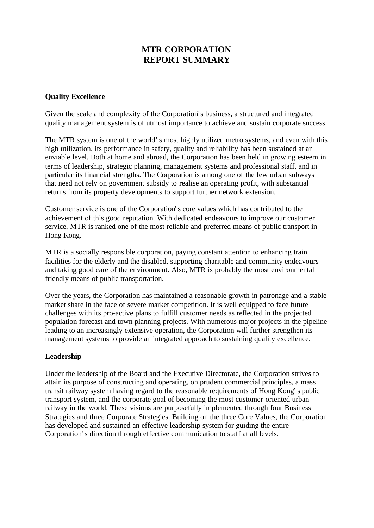# **MTR CORPORATION REPORT SUMMARY**

### **Quality Excellence**

Given the scale and complexity of the Corporation's business, a structured and integrated quality management system is of utmost importance to achieve and sustain corporate success.

The MTR system is one of the world's most highly utilized metro systems, and even with this high utilization, its performance in safety, quality and reliability has been sustained at an enviable level. Both at home and abroad, the Corporation has been held in growing esteem in terms of leadership, strategic planning, management systems and professional staff, and in particular its financial strengths. The Corporation is among one of the few urban subways that need not rely on government subsidy to realise an operating profit, with substantial returns from its property developments to support further network extension.

Customer service is one of the Corporation's core values which has contributed to the achievement of this good reputation. With dedicated endeavours to improve our customer service, MTR is ranked one of the most reliable and preferred means of public transport in Hong Kong.

MTR is a socially responsible corporation, paying constant attention to enhancing train facilities for the elderly and the disabled, supporting charitable and community endeavours and taking good care of the environment. Also, MTR is probably the most environmental friendly means of public transportation.

Over the years, the Corporation has maintained a reasonable growth in patronage and a stable market share in the face of severe market competition. It is well equipped to face future challenges with its pro-active plans to fulfill customer needs as reflected in the projected population forecast and town planning projects. With numerous major projects in the pipeline leading to an increasingly extensive operation, the Corporation will further strengthen its management systems to provide an integrated approach to sustaining quality excellence.

## **Leadership**

Under the leadership of the Board and the Executive Directorate, the Corporation strives to attain its purpose of constructing and operating, on prudent commercial principles, a mass transit railway system having regard to the reasonable requirements of Hong Kong's public transport system, and the corporate goal of becoming the most customer-oriented urban railway in the world. These visions are purposefully implemented through four Business Strategies and three Corporate Strategies. Building on the three Core Values, the Corporation has developed and sustained an effective leadership system for guiding the entire Corporation's direction through effective communication to staff at all levels.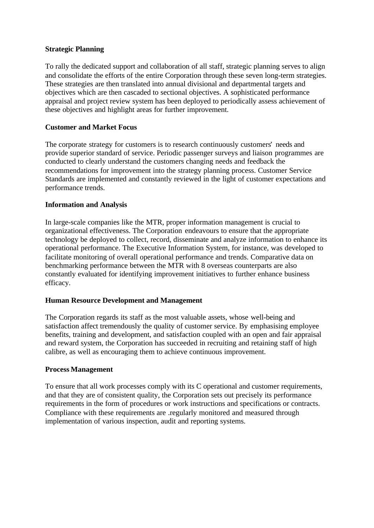#### **Strategic Planning**

To rally the dedicated support and collaboration of all staff, strategic planning serves to align and consolidate the efforts of the entire Corporation through these seven long-term strategies. These strategies are then translated into annual divisional and departmental targets and objectives which are then cascaded to sectional objectives. A sophisticated performance appraisal and project review system has been deployed to periodically assess achievement of these objectives and highlight areas for further improvement.

## **Customer and Market Focus**

The corporate strategy for customers is to research continuously customers' needs and provide superior standard of service. Periodic passenger surveys and liaison programmes are conducted to clearly understand the customers changing needs and feedback the recommendations for improvement into the strategy planning process. Customer Service Standards are implemented and constantly reviewed in the light of customer expectations and performance trends.

## **Information and Analysis**

In large-scale companies like the MTR, proper information management is crucial to organizational effectiveness. The Corporation endeavours to ensure that the appropriate technology be deployed to collect, record, disseminate and analyze information to enhance its operational performance. The Executive Information System, for instance, was developed to facilitate monitoring of overall operational performance and trends. Comparative data on benchmarking performance between the MTR with 8 overseas counterparts are also constantly evaluated for identifying improvement initiatives to further enhance business efficacy.

## **Human Resource Development and Management**

The Corporation regards its staff as the most valuable assets, whose well-being and satisfaction affect tremendously the quality of customer service. By emphasising employee benefits, training and development, and satisfaction coupled with an open and fair appraisal and reward system, the Corporation has succeeded in recruiting and retaining staff of high calibre, as well as encouraging them to achieve continuous improvement.

#### **Process Management**

To ensure that all work processes comply with its C operational and customer requirements, and that they are of consistent quality, the Corporation sets out precisely its performance requirements in the form of procedures or work instructions and specifications or contracts. Compliance with these requirements are .regularly monitored and measured through implementation of various inspection, audit and reporting systems.